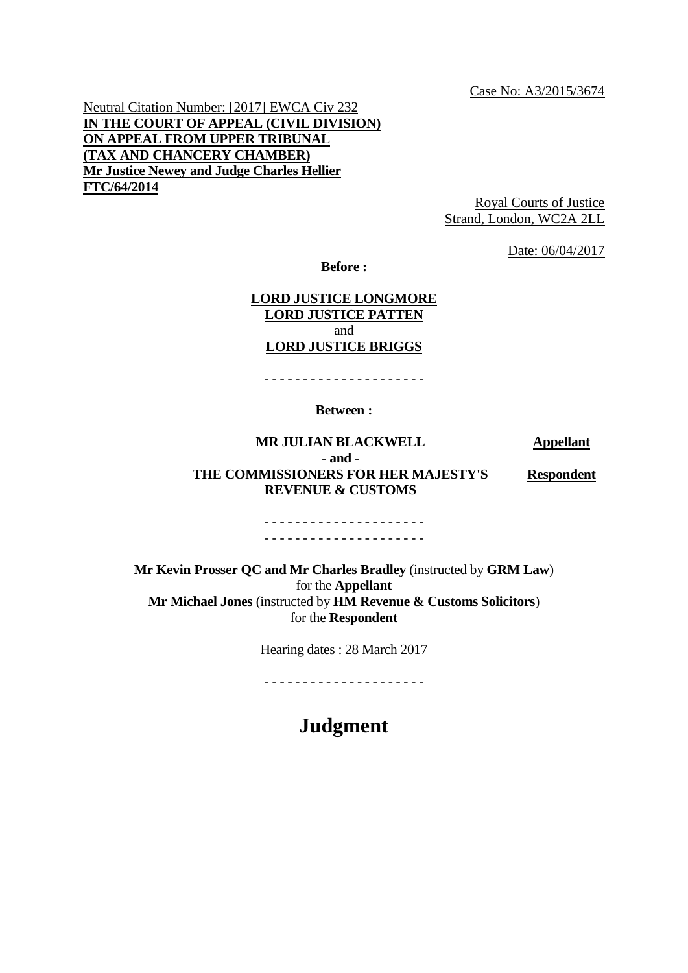Case No: A3/2015/3674

Neutral Citation Number: [2017] EWCA Civ 232 **IN THE COURT OF APPEAL (CIVIL DIVISION) ON APPEAL FROM UPPER TRIBUNAL (TAX AND CHANCERY CHAMBER) Mr Justice Newey and Judge Charles Hellier FTC/64/2014**

Royal Courts of Justice Strand, London, WC2A 2LL

Date: 06/04/2017

**Before :**

#### **LORD JUSTICE LONGMORE LORD JUSTICE PATTEN** and **LORD JUSTICE BRIGGS**

- - - - - - - - - - - - - - - - - - - - -

#### **Between :**

**MR JULIAN BLACKWELL Appellant - and - THE COMMISSIONERS FOR HER MAJESTY'S REVENUE & CUSTOMS Respondent**

#### - - - - - - - - - - - - - - - - - - - - - - - - - - - - - - - - - - - - - - - - - -

**Mr Kevin Prosser QC and Mr Charles Bradley** (instructed by **GRM Law**) for the **Appellant Mr Michael Jones** (instructed by **HM Revenue & Customs Solicitors**) for the **Respondent**

Hearing dates : 28 March 2017

- - - - - - - - - - - - - - - - - - - - -

# **Judgment**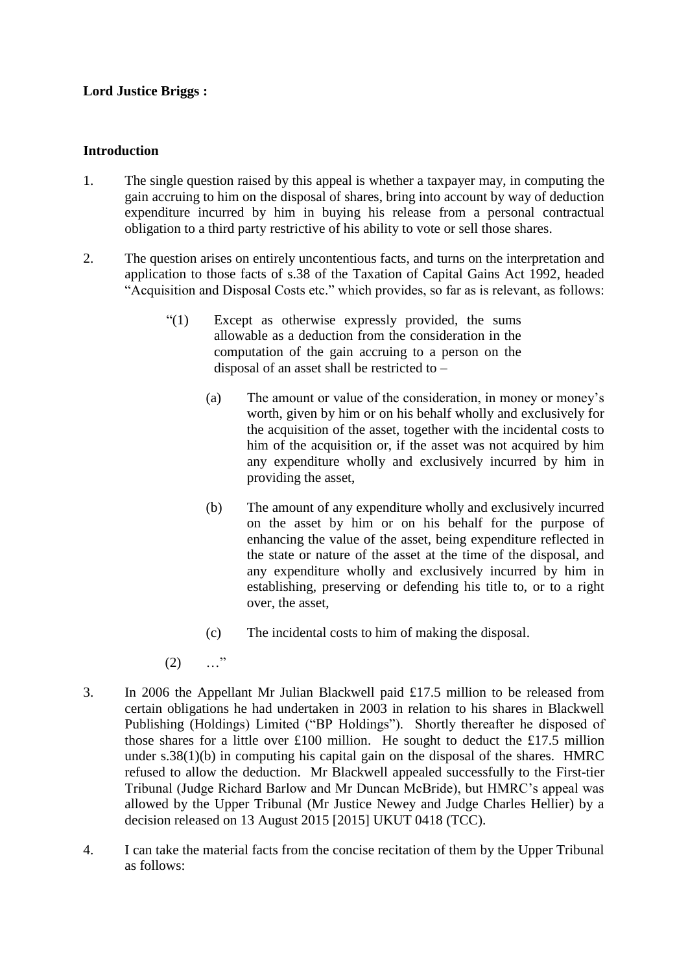## **Lord Justice Briggs :**

### **Introduction**

- 1. The single question raised by this appeal is whether a taxpayer may, in computing the gain accruing to him on the disposal of shares, bring into account by way of deduction expenditure incurred by him in buying his release from a personal contractual obligation to a third party restrictive of his ability to vote or sell those shares.
- 2. The question arises on entirely uncontentious facts, and turns on the interpretation and application to those facts of s.38 of the Taxation of Capital Gains Act 1992, headed "Acquisition and Disposal Costs etc." which provides, so far as is relevant, as follows:
	- "(1) Except as otherwise expressly provided, the sums allowable as a deduction from the consideration in the computation of the gain accruing to a person on the disposal of an asset shall be restricted to –
		- (a) The amount or value of the consideration, in money or money's worth, given by him or on his behalf wholly and exclusively for the acquisition of the asset, together with the incidental costs to him of the acquisition or, if the asset was not acquired by him any expenditure wholly and exclusively incurred by him in providing the asset,
		- (b) The amount of any expenditure wholly and exclusively incurred on the asset by him or on his behalf for the purpose of enhancing the value of the asset, being expenditure reflected in the state or nature of the asset at the time of the disposal, and any expenditure wholly and exclusively incurred by him in establishing, preserving or defending his title to, or to a right over, the asset,
		- (c) The incidental costs to him of making the disposal.
	- $(2)$  …"
- 3. In 2006 the Appellant Mr Julian Blackwell paid £17.5 million to be released from certain obligations he had undertaken in 2003 in relation to his shares in Blackwell Publishing (Holdings) Limited ("BP Holdings"). Shortly thereafter he disposed of those shares for a little over £100 million. He sought to deduct the £17.5 million under s.38(1)(b) in computing his capital gain on the disposal of the shares. HMRC refused to allow the deduction. Mr Blackwell appealed successfully to the First-tier Tribunal (Judge Richard Barlow and Mr Duncan McBride), but HMRC's appeal was allowed by the Upper Tribunal (Mr Justice Newey and Judge Charles Hellier) by a decision released on 13 August 2015 [2015] UKUT 0418 (TCC).
- 4. I can take the material facts from the concise recitation of them by the Upper Tribunal as follows: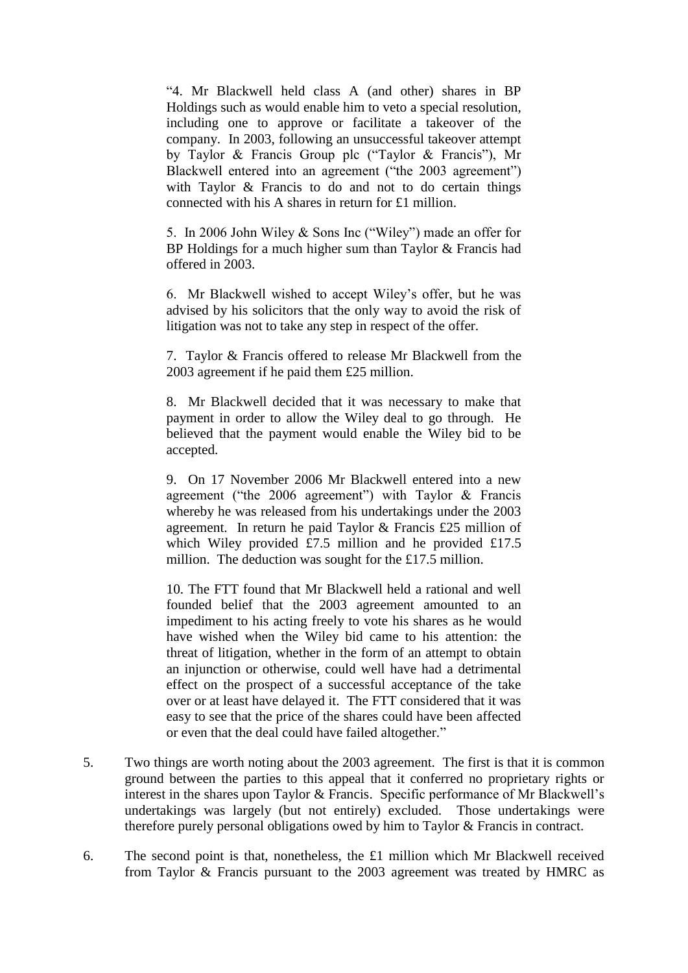"4. Mr Blackwell held class A (and other) shares in BP Holdings such as would enable him to veto a special resolution, including one to approve or facilitate a takeover of the company. In 2003, following an unsuccessful takeover attempt by Taylor & Francis Group plc ("Taylor & Francis"), Mr Blackwell entered into an agreement ("the 2003 agreement") with Taylor & Francis to do and not to do certain things connected with his A shares in return for £1 million.

5. In 2006 John Wiley & Sons Inc ("Wiley") made an offer for BP Holdings for a much higher sum than Taylor & Francis had offered in 2003.

6. Mr Blackwell wished to accept Wiley's offer, but he was advised by his solicitors that the only way to avoid the risk of litigation was not to take any step in respect of the offer.

7. Taylor & Francis offered to release Mr Blackwell from the 2003 agreement if he paid them £25 million.

8. Mr Blackwell decided that it was necessary to make that payment in order to allow the Wiley deal to go through. He believed that the payment would enable the Wiley bid to be accepted.

9. On 17 November 2006 Mr Blackwell entered into a new agreement ("the 2006 agreement") with Taylor & Francis whereby he was released from his undertakings under the 2003 agreement. In return he paid Taylor & Francis £25 million of which Wiley provided £7.5 million and he provided £17.5 million. The deduction was sought for the £17.5 million.

10. The FTT found that Mr Blackwell held a rational and well founded belief that the 2003 agreement amounted to an impediment to his acting freely to vote his shares as he would have wished when the Wiley bid came to his attention: the threat of litigation, whether in the form of an attempt to obtain an injunction or otherwise, could well have had a detrimental effect on the prospect of a successful acceptance of the take over or at least have delayed it. The FTT considered that it was easy to see that the price of the shares could have been affected or even that the deal could have failed altogether."

- 5. Two things are worth noting about the 2003 agreement. The first is that it is common ground between the parties to this appeal that it conferred no proprietary rights or interest in the shares upon Taylor & Francis. Specific performance of Mr Blackwell's undertakings was largely (but not entirely) excluded. Those undertakings were therefore purely personal obligations owed by him to Taylor & Francis in contract.
- 6. The second point is that, nonetheless, the £1 million which Mr Blackwell received from Taylor & Francis pursuant to the 2003 agreement was treated by HMRC as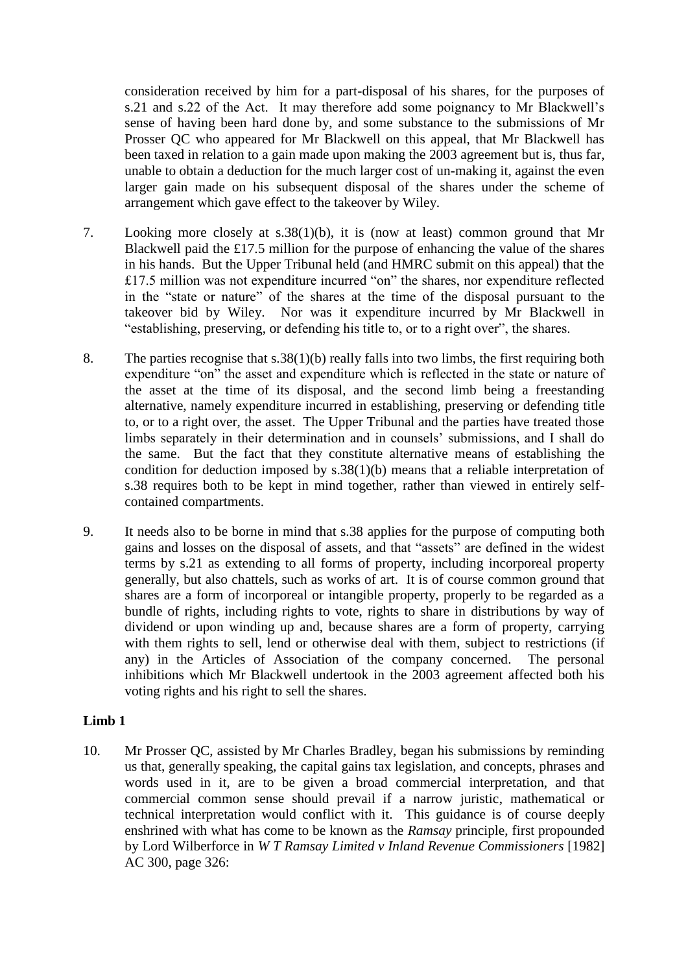consideration received by him for a part-disposal of his shares, for the purposes of s.21 and s.22 of the Act. It may therefore add some poignancy to Mr Blackwell's sense of having been hard done by, and some substance to the submissions of Mr Prosser QC who appeared for Mr Blackwell on this appeal, that Mr Blackwell has been taxed in relation to a gain made upon making the 2003 agreement but is, thus far, unable to obtain a deduction for the much larger cost of un-making it, against the even larger gain made on his subsequent disposal of the shares under the scheme of arrangement which gave effect to the takeover by Wiley.

- 7. Looking more closely at s.38(1)(b), it is (now at least) common ground that Mr Blackwell paid the £17.5 million for the purpose of enhancing the value of the shares in his hands. But the Upper Tribunal held (and HMRC submit on this appeal) that the £17.5 million was not expenditure incurred "on" the shares, nor expenditure reflected in the "state or nature" of the shares at the time of the disposal pursuant to the takeover bid by Wiley. Nor was it expenditure incurred by Mr Blackwell in "establishing, preserving, or defending his title to, or to a right over", the shares.
- 8. The parties recognise that s.38(1)(b) really falls into two limbs, the first requiring both expenditure "on" the asset and expenditure which is reflected in the state or nature of the asset at the time of its disposal, and the second limb being a freestanding alternative, namely expenditure incurred in establishing, preserving or defending title to, or to a right over, the asset. The Upper Tribunal and the parties have treated those limbs separately in their determination and in counsels' submissions, and I shall do the same. But the fact that they constitute alternative means of establishing the condition for deduction imposed by s.38(1)(b) means that a reliable interpretation of s.38 requires both to be kept in mind together, rather than viewed in entirely selfcontained compartments.
- 9. It needs also to be borne in mind that s.38 applies for the purpose of computing both gains and losses on the disposal of assets, and that "assets" are defined in the widest terms by s.21 as extending to all forms of property, including incorporeal property generally, but also chattels, such as works of art. It is of course common ground that shares are a form of incorporeal or intangible property, properly to be regarded as a bundle of rights, including rights to vote, rights to share in distributions by way of dividend or upon winding up and, because shares are a form of property, carrying with them rights to sell, lend or otherwise deal with them, subject to restrictions (if any) in the Articles of Association of the company concerned. The personal inhibitions which Mr Blackwell undertook in the 2003 agreement affected both his voting rights and his right to sell the shares.

#### **Limb 1**

10. Mr Prosser QC, assisted by Mr Charles Bradley, began his submissions by reminding us that, generally speaking, the capital gains tax legislation, and concepts, phrases and words used in it, are to be given a broad commercial interpretation, and that commercial common sense should prevail if a narrow juristic, mathematical or technical interpretation would conflict with it. This guidance is of course deeply enshrined with what has come to be known as the *Ramsay* principle, first propounded by Lord Wilberforce in *W T Ramsay Limited v Inland Revenue Commissioners* [1982] AC 300, page 326: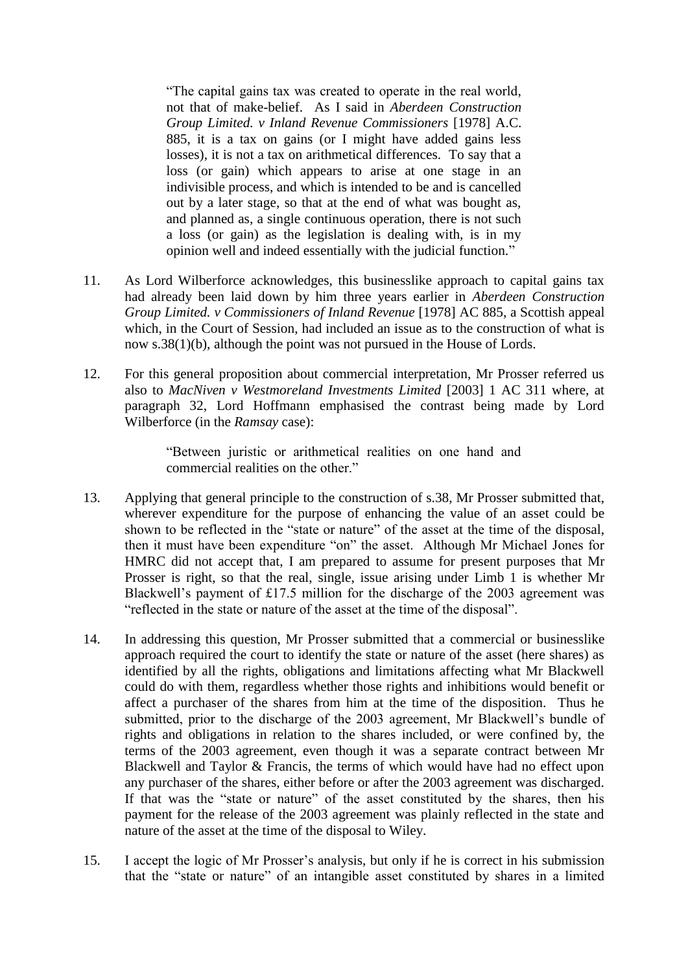"The capital gains tax was created to operate in the real world, not that of make-belief. As I said in *Aberdeen Construction Group Limited. v Inland Revenue Commissioners* [1978] A.C. 885, it is a tax on gains (or I might have added gains less losses), it is not a tax on arithmetical differences. To say that a loss (or gain) which appears to arise at one stage in an indivisible process, and which is intended to be and is cancelled out by a later stage, so that at the end of what was bought as, and planned as, a single continuous operation, there is not such a loss (or gain) as the legislation is dealing with, is in my opinion well and indeed essentially with the judicial function."

- 11. As Lord Wilberforce acknowledges, this businesslike approach to capital gains tax had already been laid down by him three years earlier in *Aberdeen Construction Group Limited. v Commissioners of Inland Revenue* [1978] AC 885, a Scottish appeal which, in the Court of Session, had included an issue as to the construction of what is now s.38(1)(b), although the point was not pursued in the House of Lords.
- 12. For this general proposition about commercial interpretation, Mr Prosser referred us also to *MacNiven v Westmoreland Investments Limited* [2003] 1 AC 311 where, at paragraph 32, Lord Hoffmann emphasised the contrast being made by Lord Wilberforce (in the *Ramsay* case):

"Between juristic or arithmetical realities on one hand and commercial realities on the other."

- 13. Applying that general principle to the construction of s.38, Mr Prosser submitted that, wherever expenditure for the purpose of enhancing the value of an asset could be shown to be reflected in the "state or nature" of the asset at the time of the disposal, then it must have been expenditure "on" the asset. Although Mr Michael Jones for HMRC did not accept that, I am prepared to assume for present purposes that Mr Prosser is right, so that the real, single, issue arising under Limb 1 is whether Mr Blackwell's payment of £17.5 million for the discharge of the 2003 agreement was "reflected in the state or nature of the asset at the time of the disposal".
- 14. In addressing this question, Mr Prosser submitted that a commercial or businesslike approach required the court to identify the state or nature of the asset (here shares) as identified by all the rights, obligations and limitations affecting what Mr Blackwell could do with them, regardless whether those rights and inhibitions would benefit or affect a purchaser of the shares from him at the time of the disposition. Thus he submitted, prior to the discharge of the 2003 agreement, Mr Blackwell's bundle of rights and obligations in relation to the shares included, or were confined by, the terms of the 2003 agreement, even though it was a separate contract between Mr Blackwell and Taylor & Francis, the terms of which would have had no effect upon any purchaser of the shares, either before or after the 2003 agreement was discharged. If that was the "state or nature" of the asset constituted by the shares, then his payment for the release of the 2003 agreement was plainly reflected in the state and nature of the asset at the time of the disposal to Wiley.
- 15. I accept the logic of Mr Prosser's analysis, but only if he is correct in his submission that the "state or nature" of an intangible asset constituted by shares in a limited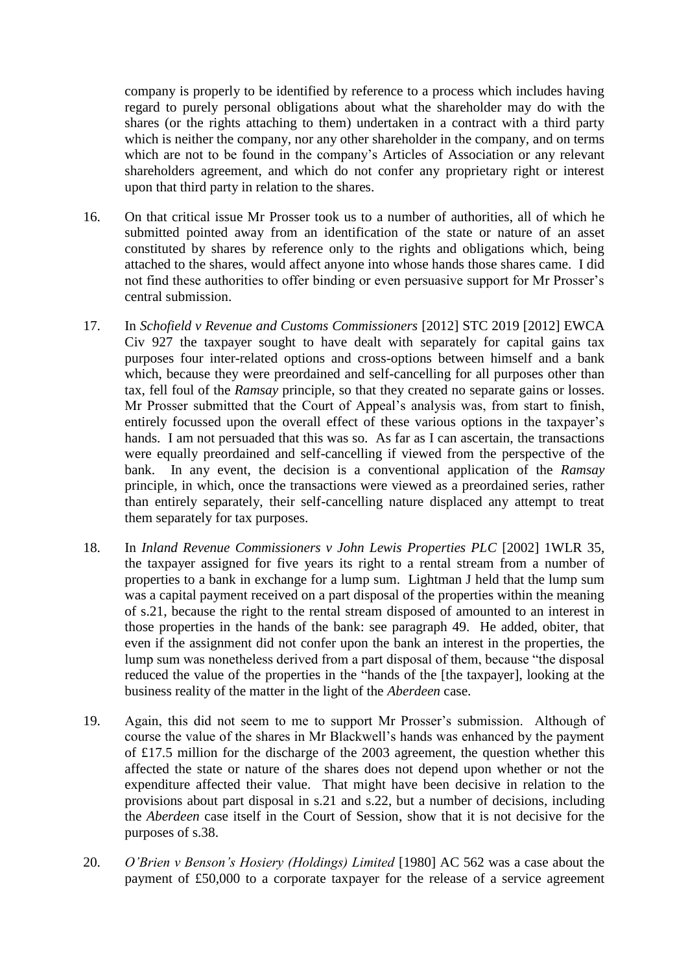company is properly to be identified by reference to a process which includes having regard to purely personal obligations about what the shareholder may do with the shares (or the rights attaching to them) undertaken in a contract with a third party which is neither the company, nor any other shareholder in the company, and on terms which are not to be found in the company's Articles of Association or any relevant shareholders agreement, and which do not confer any proprietary right or interest upon that third party in relation to the shares.

- 16. On that critical issue Mr Prosser took us to a number of authorities, all of which he submitted pointed away from an identification of the state or nature of an asset constituted by shares by reference only to the rights and obligations which, being attached to the shares, would affect anyone into whose hands those shares came. I did not find these authorities to offer binding or even persuasive support for Mr Prosser's central submission.
- 17. In *Schofield v Revenue and Customs Commissioners* [2012] STC 2019 [2012] EWCA Civ 927 the taxpayer sought to have dealt with separately for capital gains tax purposes four inter-related options and cross-options between himself and a bank which, because they were preordained and self-cancelling for all purposes other than tax, fell foul of the *Ramsay* principle, so that they created no separate gains or losses. Mr Prosser submitted that the Court of Appeal's analysis was, from start to finish, entirely focussed upon the overall effect of these various options in the taxpayer's hands. I am not persuaded that this was so. As far as I can ascertain, the transactions were equally preordained and self-cancelling if viewed from the perspective of the bank. In any event, the decision is a conventional application of the *Ramsay* principle, in which, once the transactions were viewed as a preordained series, rather than entirely separately, their self-cancelling nature displaced any attempt to treat them separately for tax purposes.
- 18. In *Inland Revenue Commissioners v John Lewis Properties PLC* [2002] 1WLR 35, the taxpayer assigned for five years its right to a rental stream from a number of properties to a bank in exchange for a lump sum. Lightman J held that the lump sum was a capital payment received on a part disposal of the properties within the meaning of s.21, because the right to the rental stream disposed of amounted to an interest in those properties in the hands of the bank: see paragraph 49. He added, obiter, that even if the assignment did not confer upon the bank an interest in the properties, the lump sum was nonetheless derived from a part disposal of them, because "the disposal reduced the value of the properties in the "hands of the [the taxpayer], looking at the business reality of the matter in the light of the *Aberdeen* case.
- 19. Again, this did not seem to me to support Mr Prosser's submission. Although of course the value of the shares in Mr Blackwell's hands was enhanced by the payment of £17.5 million for the discharge of the 2003 agreement, the question whether this affected the state or nature of the shares does not depend upon whether or not the expenditure affected their value. That might have been decisive in relation to the provisions about part disposal in s.21 and s.22, but a number of decisions, including the *Aberdeen* case itself in the Court of Session, show that it is not decisive for the purposes of s.38.
- 20. *O'Brien v Benson's Hosiery (Holdings) Limited* [1980] AC 562 was a case about the payment of £50,000 to a corporate taxpayer for the release of a service agreement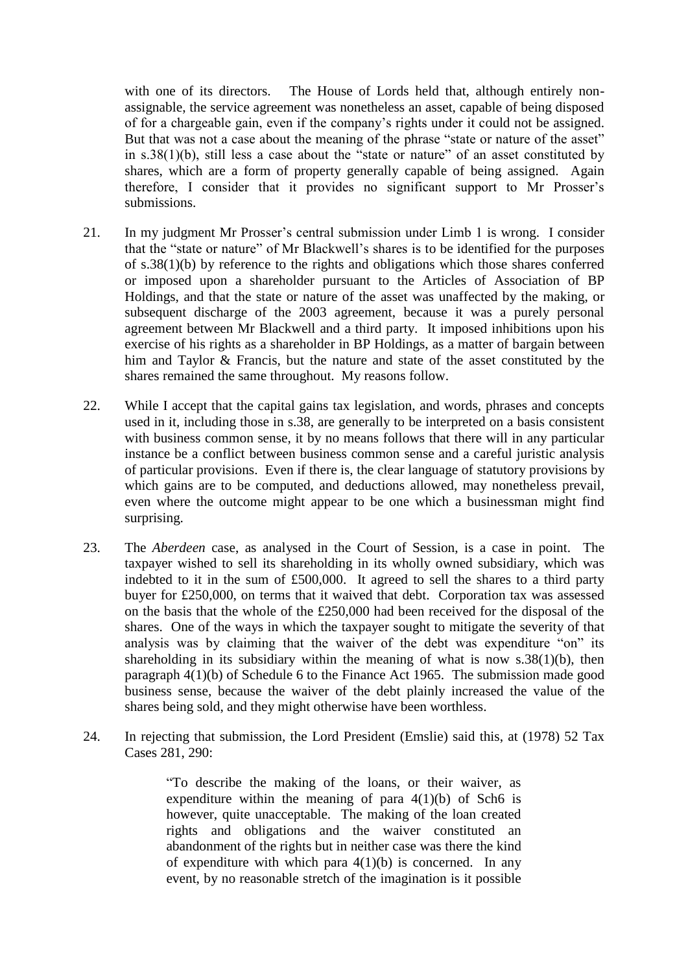with one of its directors. The House of Lords held that, although entirely nonassignable, the service agreement was nonetheless an asset, capable of being disposed of for a chargeable gain, even if the company's rights under it could not be assigned. But that was not a case about the meaning of the phrase "state or nature of the asset" in s.38(1)(b), still less a case about the "state or nature" of an asset constituted by shares, which are a form of property generally capable of being assigned. Again therefore, I consider that it provides no significant support to Mr Prosser's submissions.

- 21. In my judgment Mr Prosser's central submission under Limb 1 is wrong. I consider that the "state or nature" of Mr Blackwell's shares is to be identified for the purposes of s.38(1)(b) by reference to the rights and obligations which those shares conferred or imposed upon a shareholder pursuant to the Articles of Association of BP Holdings, and that the state or nature of the asset was unaffected by the making, or subsequent discharge of the 2003 agreement, because it was a purely personal agreement between Mr Blackwell and a third party. It imposed inhibitions upon his exercise of his rights as a shareholder in BP Holdings, as a matter of bargain between him and Taylor & Francis, but the nature and state of the asset constituted by the shares remained the same throughout. My reasons follow.
- 22. While I accept that the capital gains tax legislation, and words, phrases and concepts used in it, including those in s.38, are generally to be interpreted on a basis consistent with business common sense, it by no means follows that there will in any particular instance be a conflict between business common sense and a careful juristic analysis of particular provisions. Even if there is, the clear language of statutory provisions by which gains are to be computed, and deductions allowed, may nonetheless prevail, even where the outcome might appear to be one which a businessman might find surprising.
- 23. The *Aberdeen* case, as analysed in the Court of Session, is a case in point. The taxpayer wished to sell its shareholding in its wholly owned subsidiary, which was indebted to it in the sum of £500,000. It agreed to sell the shares to a third party buyer for £250,000, on terms that it waived that debt. Corporation tax was assessed on the basis that the whole of the £250,000 had been received for the disposal of the shares. One of the ways in which the taxpayer sought to mitigate the severity of that analysis was by claiming that the waiver of the debt was expenditure "on" its shareholding in its subsidiary within the meaning of what is now  $s.38(1)(b)$ , then paragraph 4(1)(b) of Schedule 6 to the Finance Act 1965. The submission made good business sense, because the waiver of the debt plainly increased the value of the shares being sold, and they might otherwise have been worthless.
- 24. In rejecting that submission, the Lord President (Emslie) said this, at (1978) 52 Tax Cases 281, 290:

"To describe the making of the loans, or their waiver, as expenditure within the meaning of para  $4(1)(b)$  of Sch6 is however, quite unacceptable. The making of the loan created rights and obligations and the waiver constituted an abandonment of the rights but in neither case was there the kind of expenditure with which para  $4(1)(b)$  is concerned. In any event, by no reasonable stretch of the imagination is it possible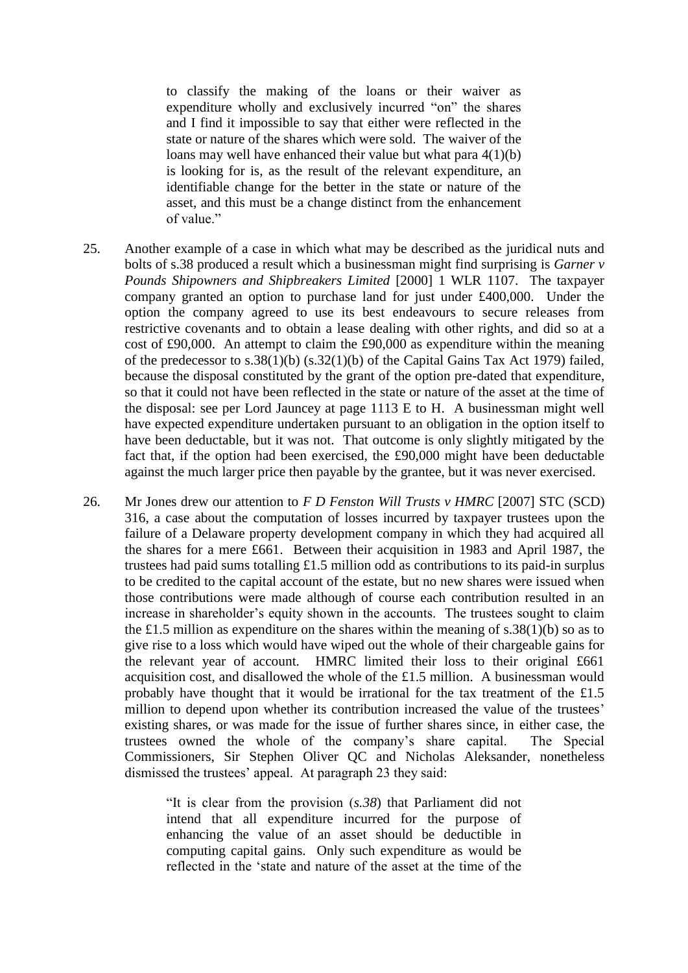to classify the making of the loans or their waiver as expenditure wholly and exclusively incurred "on" the shares and I find it impossible to say that either were reflected in the state or nature of the shares which were sold. The waiver of the loans may well have enhanced their value but what para 4(1)(b) is looking for is, as the result of the relevant expenditure, an identifiable change for the better in the state or nature of the asset, and this must be a change distinct from the enhancement of value."

- 25. Another example of a case in which what may be described as the juridical nuts and bolts of s.38 produced a result which a businessman might find surprising is *Garner v Pounds Shipowners and Shipbreakers Limited* [2000] 1 WLR 1107. The taxpayer company granted an option to purchase land for just under £400,000. Under the option the company agreed to use its best endeavours to secure releases from restrictive covenants and to obtain a lease dealing with other rights, and did so at a cost of £90,000. An attempt to claim the £90,000 as expenditure within the meaning of the predecessor to s.38(1)(b) (s.32(1)(b) of the Capital Gains Tax Act 1979) failed, because the disposal constituted by the grant of the option pre-dated that expenditure, so that it could not have been reflected in the state or nature of the asset at the time of the disposal: see per Lord Jauncey at page 1113 E to H. A businessman might well have expected expenditure undertaken pursuant to an obligation in the option itself to have been deductable, but it was not. That outcome is only slightly mitigated by the fact that, if the option had been exercised, the £90,000 might have been deductable against the much larger price then payable by the grantee, but it was never exercised.
- 26. Mr Jones drew our attention to *F D Fenston Will Trusts v HMRC* [2007] STC (SCD) 316, a case about the computation of losses incurred by taxpayer trustees upon the failure of a Delaware property development company in which they had acquired all the shares for a mere £661. Between their acquisition in 1983 and April 1987, the trustees had paid sums totalling £1.5 million odd as contributions to its paid-in surplus to be credited to the capital account of the estate, but no new shares were issued when those contributions were made although of course each contribution resulted in an increase in shareholder's equity shown in the accounts. The trustees sought to claim the £1.5 million as expenditure on the shares within the meaning of s.38(1)(b) so as to give rise to a loss which would have wiped out the whole of their chargeable gains for the relevant year of account. HMRC limited their loss to their original £661 acquisition cost, and disallowed the whole of the £1.5 million. A businessman would probably have thought that it would be irrational for the tax treatment of the £1.5 million to depend upon whether its contribution increased the value of the trustees' existing shares, or was made for the issue of further shares since, in either case, the trustees owned the whole of the company's share capital. The Special Commissioners, Sir Stephen Oliver QC and Nicholas Aleksander, nonetheless dismissed the trustees' appeal. At paragraph 23 they said:

"It is clear from the provision (*s.38*) that Parliament did not intend that all expenditure incurred for the purpose of enhancing the value of an asset should be deductible in computing capital gains. Only such expenditure as would be reflected in the 'state and nature of the asset at the time of the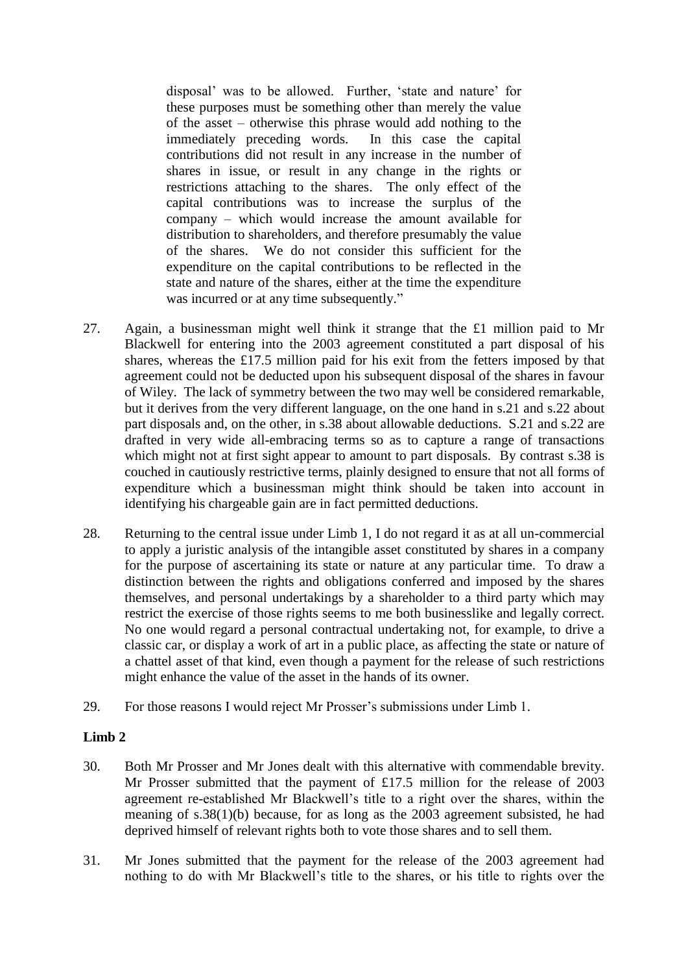disposal' was to be allowed. Further, 'state and nature' for these purposes must be something other than merely the value of the asset – otherwise this phrase would add nothing to the immediately preceding words. In this case the capital contributions did not result in any increase in the number of shares in issue, or result in any change in the rights or restrictions attaching to the shares. The only effect of the capital contributions was to increase the surplus of the company – which would increase the amount available for distribution to shareholders, and therefore presumably the value of the shares. We do not consider this sufficient for the expenditure on the capital contributions to be reflected in the state and nature of the shares, either at the time the expenditure was incurred or at any time subsequently."

- 27. Again, a businessman might well think it strange that the £1 million paid to Mr Blackwell for entering into the 2003 agreement constituted a part disposal of his shares, whereas the £17.5 million paid for his exit from the fetters imposed by that agreement could not be deducted upon his subsequent disposal of the shares in favour of Wiley. The lack of symmetry between the two may well be considered remarkable, but it derives from the very different language, on the one hand in s.21 and s.22 about part disposals and, on the other, in s.38 about allowable deductions. S.21 and s.22 are drafted in very wide all-embracing terms so as to capture a range of transactions which might not at first sight appear to amount to part disposals. By contrast s.38 is couched in cautiously restrictive terms, plainly designed to ensure that not all forms of expenditure which a businessman might think should be taken into account in identifying his chargeable gain are in fact permitted deductions.
- 28. Returning to the central issue under Limb 1, I do not regard it as at all un-commercial to apply a juristic analysis of the intangible asset constituted by shares in a company for the purpose of ascertaining its state or nature at any particular time. To draw a distinction between the rights and obligations conferred and imposed by the shares themselves, and personal undertakings by a shareholder to a third party which may restrict the exercise of those rights seems to me both businesslike and legally correct. No one would regard a personal contractual undertaking not, for example, to drive a classic car, or display a work of art in a public place, as affecting the state or nature of a chattel asset of that kind, even though a payment for the release of such restrictions might enhance the value of the asset in the hands of its owner.
- 29. For those reasons I would reject Mr Prosser's submissions under Limb 1.

# **Limb 2**

- 30. Both Mr Prosser and Mr Jones dealt with this alternative with commendable brevity. Mr Prosser submitted that the payment of £17.5 million for the release of 2003 agreement re-established Mr Blackwell's title to a right over the shares, within the meaning of s.38(1)(b) because, for as long as the 2003 agreement subsisted, he had deprived himself of relevant rights both to vote those shares and to sell them.
- 31. Mr Jones submitted that the payment for the release of the 2003 agreement had nothing to do with Mr Blackwell's title to the shares, or his title to rights over the